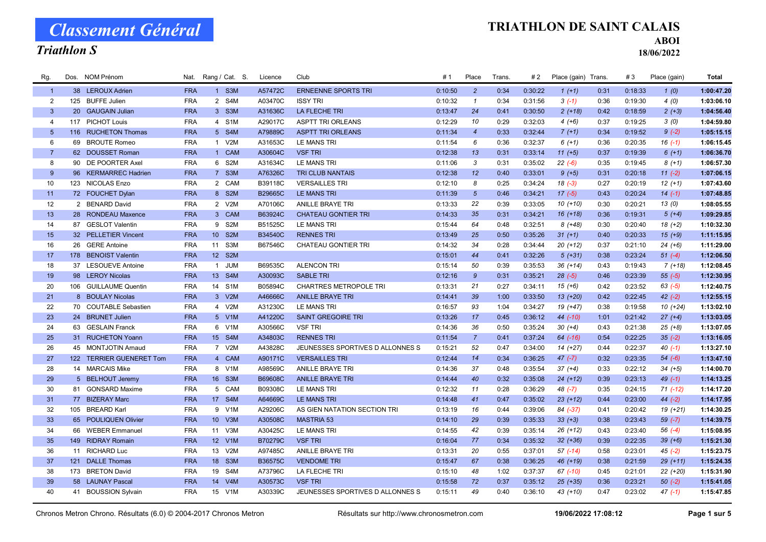#### Triathlon S

#### TRIATHLON DE SAINT CALAIS

ABOI

| Rg.             | Dos. NOM Prénom          | Nat.       | Rang / Cat. S.  |       | Licence | Club                             | # 1     | Place          | Trans. | # 2     | Place (gain) Trans. |      | #3      | Place (gain) | Total      |
|-----------------|--------------------------|------------|-----------------|-------|---------|----------------------------------|---------|----------------|--------|---------|---------------------|------|---------|--------------|------------|
| $\overline{1}$  | 38 LEROUX Adrien         | <b>FRA</b> |                 | 1 S3M | A57472C | <b>ERNEENNE SPORTS TRI</b>       | 0:10:50 | $\overline{2}$ | 0:34   | 0:30:22 | $1(+1)$             | 0:31 | 0:18:33 | 1(0)         | 1:00:47.20 |
| $\overline{2}$  | 125 BUFFE Julien         | <b>FRA</b> |                 | 2 S4M | A03470C | <b>ISSY TRI</b>                  | 0:10:32 | $\mathbf{1}$   | 0:34   | 0:31:56 | $3(-1)$             | 0:36 | 0:19:30 | 4(0)         | 1:03:06.10 |
| $\mathbf{3}$    | 20 GAUGAIN Julian        | <b>FRA</b> |                 | 3 S3M | A31636C | <b>LA FLECHE TRI</b>             | 0:13:47 | 24             | 0:41   | 0:30:50 | $2 (+18)$           | 0:42 | 0:18:59 | $2 (+3)$     | 1:04:56.40 |
| $\overline{4}$  | 117 PICHOT Louis         | <b>FRA</b> |                 | 4 S1M | A29017C | <b>ASPTT TRI ORLEANS</b>         | 0:12:29 | 10             | 0:29   | 0:32:03 | $4(+6)$             | 0:37 | 0:19:25 | 3(0)         | 1:04:59.80 |
| $5\phantom{.0}$ | 116 RUCHETON Thomas      | <b>FRA</b> |                 | 5 S4M | A79889C | <b>ASPTT TRI ORLEANS</b>         | 0:11:34 | $\overline{4}$ | 0:33   | 0:32:44 | $7(+1)$             | 0:34 | 0:19:52 | $9(-2)$      | 1:05:15.15 |
| 6               | 69 BROUTE Romeo          | <b>FRA</b> |                 | 1 V2M | A31653C | LE MANS TRI                      | 0:11:54 | 6              | 0:36   | 0:32:37 | $6 (+1)$            | 0:36 | 0:20:35 | $16(-1)$     | 1:06:15.45 |
| $\overline{7}$  | 62 DOUSSET Roman         | <b>FRA</b> |                 | 1 CAM | A30604C | <b>VSF TRI</b>                   | 0:12:38 | 13             | 0:31   | 0:33:14 | $11 (+5)$           | 0:37 | 0:19:39 | $6(+1)$      | 1:06:36.70 |
| 8               | 90 DE POORTER Axel       | <b>FRA</b> |                 | 6 S2M | A31634C | LE MANS TRI                      | 0:11:06 | 3              | 0:31   | 0:35:02 | $22(-6)$            | 0:35 | 0:19:45 | $8(+1)$      | 1:06:57.30 |
| 9               | 96 KERMARREC Hadrien     | <b>FRA</b> |                 | 7 S3M | A76326C | TRI CLUB NANTAIS                 | 0:12:38 | 12             | 0:40   | 0:33:01 | $9 (+5)$            | 0:31 | 0:20:18 | $11 (-2)$    | 1:07:06.15 |
| 10              | 123 NICOLAS Enzo         | <b>FRA</b> |                 | 2 CAM | B39118C | <b>VERSAILLES TRI</b>            | 0:12:10 | 8              | 0:25   | 0:34:24 | $18(-3)$            | 0:27 | 0:20:19 | $12(+1)$     | 1:07:43.60 |
| 11              | 72 FOUCHET Dylan         | <b>FRA</b> |                 | 8 S2M | B29665C | LE MANS TRI                      | 0:11:39 | $\sqrt{5}$     | 0:46   | 0:34:21 | $17(-5)$            | 0:43 | 0:20:24 | $14(-1)$     | 1:07:48.85 |
| 12              | 2 BENARD David           | <b>FRA</b> |                 | 2 V2M | A70106C | <b>ANILLE BRAYE TRI</b>          | 0:13:33 | 22             | 0:39   | 0:33:05 | $10(+10)$           | 0:30 | 0:20:21 | 13(0)        | 1:08:05.55 |
| 13              | 28 RONDEAU Maxence       | <b>FRA</b> |                 | 3 CAM | B63924C | <b>CHATEAU GONTIER TRI</b>       | 0:14:33 | 35             | 0:31   | 0:34:21 | $16(+18)$           | 0:36 | 0:19:31 | $5(+4)$      | 1:09:29.85 |
| 14              | 87 GESLOT Valentin       | <b>FRA</b> |                 | 9 S2M | B51525C | LE MANS TRI                      | 0:15:44 | 64             | 0:48   | 0:32:51 | $8(+48)$            | 0:30 | 0:20:40 | $18(+2)$     | 1:10:32.30 |
| 15              | 32 PELLETIER Vincent     | <b>FRA</b> | 10 S2M          |       | B34540C | <b>RENNES TRI</b>                | 0:13:49 | 25             | 0:50   | 0:35:26 | $31 (+1)$           | 0:40 | 0:20:33 | $15(+9)$     | 1:11:15.95 |
| 16              | 26 GERE Antoine          | <b>FRA</b> | 11 S3M          |       | B67546C | <b>CHATEAU GONTIER TRI</b>       | 0:14:32 | 34             | 0:28   | 0:34:44 | $20(+12)$           | 0:37 | 0:21:10 | $24 (+6)$    | 1:11:29.00 |
| 17              | 178 BENOIST Valentin     | <b>FRA</b> | 12 S2M          |       |         |                                  | 0:15:01 | 44             | 0:41   | 0:32:26 | $5(+31)$            | 0:38 | 0:23:24 | $51 (-4)$    | 1:12:06.50 |
| 18              | 37 LESOUEVE Antoine      | <b>FRA</b> | $\mathbf{1}$    | JUM   | B69535C | <b>ALENCON TRI</b>               | 0:15:14 | 50             | 0:39   | 0:35:53 | $36 (+14)$          | 0:43 | 0:19:43 | $7(+18)$     | 1:12:08.45 |
| 19              | 98 LEROY Nicolas         | <b>FRA</b> | 13 S4M          |       | A30093C | <b>SABLE TRI</b>                 | 0:12:16 | $\mathcal{G}$  | 0:31   | 0:35:21 | $28(-5)$            | 0:46 | 0:23:39 | $55(-5)$     | 1:12:30.95 |
| 20              | 106 GUILLAUME Quentin    | <b>FRA</b> | 14 S1M          |       | B05894C | CHARTRES METROPOLE TRI           | 0:13:31 | 21             | 0:27   | 0:34:11 | $15(+6)$            | 0:42 | 0:23:52 | $63 (-5)$    | 1:12:40.75 |
| 21              | 8 BOULAY Nicolas         | <b>FRA</b> |                 | 3 V2M | A46666C | <b>ANILLE BRAYE TRI</b>          | 0:14:41 | 39             | 1:00   | 0:33:50 | $13(+20)$           | 0:42 | 0:22:45 | $42(-2)$     | 1:12:55.15 |
| 22              | 70 COUTABLE Sebastien    | <b>FRA</b> |                 | 4 V2M | A31230C | <b>LE MANS TRI</b>               | 0:16:57 | 93             | 1:04   | 0:34:27 | 19 (+47)            | 0:38 | 0:19:58 | $10 (+24)$   | 1:13:02.10 |
| 23              | 24 BRUNET Julien         | <b>FRA</b> |                 | 5 V1M | A41220C | <b>SAINT GREGOIRE TRI</b>        | 0:13:26 | 17             | 0:45   | 0:36:12 | 44 (-10)            | 1:01 | 0:21:42 | $27 (+4)$    | 1:13:03.05 |
| 24              | 63 GESLAIN Franck        | <b>FRA</b> |                 | 6 V1M | A30566C | <b>VSF TRI</b>                   | 0:14:36 | 36             | 0:50   | 0:35:24 | $30 (+4)$           | 0:43 | 0:21:38 | $25 (+8)$    | 1:13:07.05 |
| 25              | 31 RUCHETON Yoann        | <b>FRA</b> | 15 S4M          |       | A34803C | <b>RENNES TRI</b>                | 0:11:54 | $\overline{7}$ | 0:41   | 0:37:24 | $64$ $(-16)$        | 0:54 | 0:22:25 | $35(-2)$     | 1:13:16.05 |
| 26              | 45 MONTJOTIN Arnaud      | <b>FRA</b> |                 | 7 V2M | A43828C | JEUNESSES SPORTIVES D ALLONNES S | 0:15:21 | 52             | 0:47   | 0:34:00 | $14(+27)$           | 0:44 | 0:22:37 | $40(-1)$     | 1:13:27.10 |
| 27              | 122 TERRIER GUENERET Tom | <b>FRA</b> |                 | 4 CAM | A90171C | <b>VERSAILLES TRI</b>            | 0:12:44 | 14             | 0:34   | 0:36:25 | $47 (-7)$           | 0:32 | 0:23:35 | $54 (-6)$    | 1:13:47.10 |
| 28              | 14 MARCAIS Mike          | <b>FRA</b> |                 | 8 V1M | A98569C | <b>ANILLE BRAYE TRI</b>          | 0:14:36 | 37             | 0:48   | 0:35:54 | $37 (+4)$           | 0:33 | 0:22:12 | $34 (+5)$    | 1:14:00.70 |
| 29              | 5 BELHOUT Jeremy         | <b>FRA</b> | 16 S3M          |       | B69608C | <b>ANILLE BRAYE TRI</b>          | 0:14:44 | 40             | 0:32   | 0:35:08 | $24 (+12)$          | 0:39 | 0:23:13 | $49(-1)$     | 1:14:13.25 |
| 30              | 81 GONSARD Maxime        | <b>FRA</b> |                 | 5 CAM | B09308C | LE MANS TRI                      | 0:12:32 | 11             | 0:28   | 0:36:29 | 48 (-7)             | 0:35 | 0:24:15 | $71 (-12)$   | 1:14:17.20 |
| 31              | 77 BIZERAY Marc          | <b>FRA</b> | 17 S4M          |       | A64669C | <b>LE MANS TRI</b>               | 0:14:48 | 41             | 0:47   | 0:35:02 | $23 (+12)$          | 0:44 | 0:23:00 | $44 (-2)$    | 1:14:17.95 |
| 32              | 105 BREARD Karl          | <b>FRA</b> |                 | 9 V1M | A29206C | AS GIEN NATATION SECTION TRI     | 0:13:19 | 16             | 0:44   | 0:39:06 | 84 (-37)            | 0:41 | 0:20:42 | $19(+21)$    | 1:14:30.25 |
| 33              | 65 POULIQUEN Olivier     | <b>FRA</b> | 10 <sup>°</sup> | V3M   | A30508C | <b>MASTRIA 53</b>                | 0:14:10 | 29             | 0:39   | 0:35:33 | $33 (+3)$           | 0:38 | 0:23:43 | $59(-7)$     | 1:14:39.75 |
| 34              | 66 WEBER Emmanuel        | <b>FRA</b> | 11 V3M          |       | A30425C | LE MANS TRI                      | 0:14:55 | 42             | 0:39   | 0:35:14 | 26 (+12)            | 0:43 | 0:23:40 | $56(-4)$     | 1:15:08.95 |
| 35              | 149 RIDRAY Romain        | <b>FRA</b> | 12 V1M          |       | B70279C | <b>VSF TRI</b>                   | 0:16:04 | 77             | 0:34   | 0:35:32 | $32 (+36)$          | 0:39 | 0:22:35 | $39 (+6)$    | 1:15:21.30 |
| 36              | 11 RICHARD Luc           | <b>FRA</b> | 13              | V2M   | A97485C | <b>ANILLE BRAYE TRI</b>          | 0:13:31 | 20             | 0:55   | 0:37:01 | $57$ $(-14)$        | 0:58 | 0:23:01 | $45(-2)$     | 1:15:23.75 |
| 37              | 121 DALLE Thomas         | <b>FRA</b> | 18              | S3M   | B36575C | <b>VENDOME TRI</b>               | 0:15:47 | 67             | 0:38   | 0:36:25 | 46 (+19)            | 0:38 | 0:21:59 | $29 (+11)$   | 1:15:24.35 |
| 38              | 173 BRETON David         | <b>FRA</b> | 19              | S4M   | A73796C | LA FLECHE TRI                    | 0:15:10 | 48             | 1:02   | 0:37:37 | 67 (-10)            | 0:45 | 0:21:01 | $22 (+20)$   | 1:15:31.90 |
| 39              | 58 LAUNAY Pascal         | <b>FRA</b> | 14              | V4M   | A30573C | <b>VSF TRI</b>                   | 0:15:58 | 72             | 0:37   | 0:35:12 | $25$ (+35)          | 0:36 | 0:23:21 | $50(-2)$     | 1:15:41.05 |
| 40              | 41 BOUSSION Sylvain      | <b>FRA</b> | 15 V1M          |       | A30339C | JEUNESSES SPORTIVES D ALLONNES S | 0:15:11 | 49             | 0:40   | 0:36:10 | $43 (+10)$          | 0:47 | 0:23:02 | $47(-1)$     | 1:15:47.85 |
|                 |                          |            |                 |       |         |                                  |         |                |        |         |                     |      |         |              |            |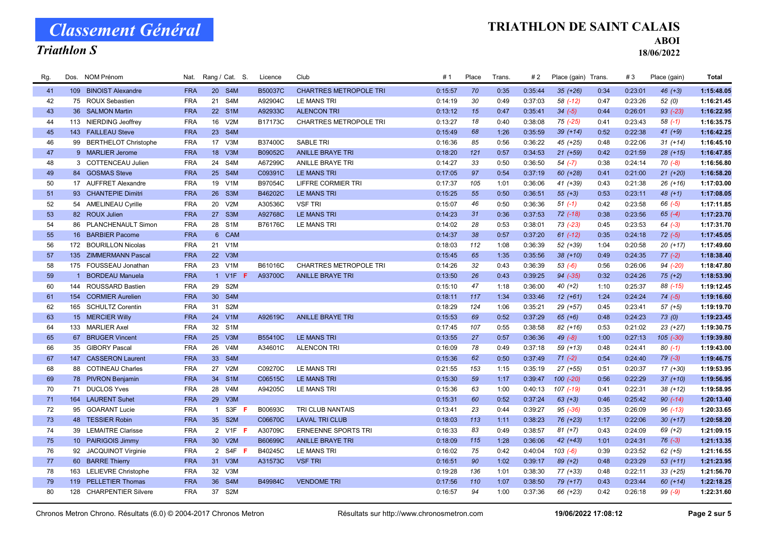#### Triathlon S

### TRIATHLON DE SAINT CALAIS

ABOI

| Rg. |     | Dos. NOM Prénom            | Nat.       |                 | Rang / Cat. S.   | Licence | Club                          | #1      | Place | Trans. | #2      | Place (gain) Trans. |      | #3      | Place (gain) | <b>Total</b> |
|-----|-----|----------------------------|------------|-----------------|------------------|---------|-------------------------------|---------|-------|--------|---------|---------------------|------|---------|--------------|--------------|
| 41  |     | 109 BINOIST Alexandre      | <b>FRA</b> |                 | 20 S4M           | B50037C | <b>CHARTRES METROPOLE TRI</b> | 0:15:57 | 70    | 0:35   | 0:35:44 | $35(+26)$           | 0:34 | 0:23:01 | $46 (+3)$    | 1:15:48.05   |
| 42  |     | 75 ROUX Sebastien          | <b>FRA</b> | 21              | S4M              | A92904C | <b>LE MANS TRI</b>            | 0:14:19 | 30    | 0:49   | 0:37:03 | 58 (-12)            | 0:47 | 0:23:26 | 52(0)        | 1:16:21.45   |
| 43  |     | 36 SALMON Martin           | <b>FRA</b> |                 | 22 S1M           | A92933C | <b>ALENCON TRI</b>            | 0:13:12 | 15    | 0:47   | 0:35:41 | $34 (-5)$           | 0:44 | 0:26:01 | $93$ $(-23)$ | 1:16:22.95   |
| 44  |     | 113 NIERDING Jeoffrey      | <b>FRA</b> | 16              | V2M              | B17173C | <b>CHARTRES METROPOLE TRI</b> | 0:13:27 | 18    | 0:40   | 0:38:08 | 75 (-25)            | 0:41 | 0:23:43 | $58(-1)$     | 1:16:35.75   |
| 45  |     | 143 FAILLEAU Steve         | <b>FRA</b> | 23              | S4M              |         |                               | 0:15:49 | 68    | 1:26   | 0:35:59 | $39 (+14)$          | 0:52 | 0:22:38 | $41 (+9)$    | 1:16:42.25   |
| 46  |     | 99 BERTHELOT Christophe    | <b>FRA</b> | 17              | V3M              | B37400C | <b>SABLE TRI</b>              | 0:16:36 | 85    | 0:56   | 0:36:22 | 45 (+25)            | 0:48 | 0:22:06 | $31 (+14)$   | 1:16:45.10   |
| 47  |     | 9 MARLIER Jerome           | <b>FRA</b> | 18              | V3M              | B09052C | <b>ANILLE BRAYE TRI</b>       | 0:18:20 | 121   | 0:57   | 0:34:53 | $21 (+59)$          | 0:42 | 0:21:59 | $28 (+15)$   | 1:16:47.85   |
| 48  |     | 3 COTTENCEAU Julien        | <b>FRA</b> | 24              | S4M              | A67299C | <b>ANILLE BRAYE TRI</b>       | 0:14:27 | 33    | 0:50   | 0:36:50 | $54 (-7)$           | 0:38 | 0:24:14 | $70(-8)$     | 1:16:56.80   |
| 49  |     | 84 GOSMAS Steve            | <b>FRA</b> |                 | 25 S4M           | C09391C | <b>LE MANS TRI</b>            | 0:17:05 | 97    | 0:54   | 0:37:19 | 60 (+28)            | 0:41 | 0:21:00 | $21 (+20)$   | 1:16:58.20   |
| 50  |     | 17 AUFFRET Alexandre       | <b>FRA</b> | 19              | V <sub>1</sub> M | B97054C | LIFFRE CORMIER TRI            | 0:17:37 | 105   | 1:01   | 0:36:06 | 41 (+39)            | 0:43 | 0:21:38 | $26 (+16)$   | 1:17:03.00   |
| 51  |     | 93 CHANTEPIE Dimitri       | <b>FRA</b> | 26              | S3M              | B46202C | <b>LE MANS TRI</b>            | 0:15:25 | 55    | 0:50   | 0:36:51 | $55(+3)$            | 0:53 | 0:23:11 | $48 (+1)$    | 1:17:08.05   |
| 52  |     | 54 AMELINEAU Cyrille       | <b>FRA</b> | 20              | V2M              | A30536C | <b>VSF TRI</b>                | 0:15:07 | 46    | 0:50   | 0:36:36 | $51(-1)$            | 0:42 | 0:23:58 | $66 (-5)$    | 1:17:11.85   |
| 53  |     | 82 ROUX Julien             | <b>FRA</b> | 27              | S3M              | A92768C | <b>LE MANS TRI</b>            | 0:14:23 | 31    | 0:36   | 0:37:53 | $72$ $(-18)$        | 0:38 | 0:23:56 | $65 (-4)$    | 1:17:23.70   |
| 54  |     | 86 PLANCHENAULT Simon      | <b>FRA</b> | 28              | S <sub>1</sub> M | B76176C | LE MANS TRI                   | 0:14:02 | 28    | 0:53   | 0:38:01 | 73 (-23)            | 0:45 | 0:23:53 | $64 (-3)$    | 1:17:31.70   |
| 55  |     | 16 BARBIER Pacome          | <b>FRA</b> | $6^{\circ}$     | <b>CAM</b>       |         |                               | 0:14:37 | 38    | 0:57   | 0:37:20 | $61$ (-12)          | 0:35 | 0:24:18 | $72(-5)$     | 1:17:45.05   |
| 56  |     | 172 BOURILLON Nicolas      | <b>FRA</b> | 21              | V <sub>1</sub> M |         |                               | 0:18:03 | 112   | 1:08   | 0:36:39 | 52 (+39)            | 1:04 | 0:20:58 | $20(+17)$    | 1:17:49.60   |
| 57  |     | 135 ZIMMERMANN Pascal      | <b>FRA</b> | 22              | V3M              |         |                               | 0:15:45 | 65    | 1:35   | 0:35:56 | $38(+10)$           | 0:49 | 0:24:35 | $77(-2)$     | 1:18:38.40   |
| 58  |     | 175 FOUSSEAU Jonathan      | <b>FRA</b> | 23              | V1M              | B61016C | <b>CHARTRES METROPOLE TRI</b> | 0:14:26 | 32    | 0:43   | 0:36:39 | $53( -6)$           | 0:56 | 0:26:06 | 94 (-20)     | 1:18:47.80   |
| 59  |     | 1 BORDEAU Manuela          | <b>FRA</b> |                 | 1 V1F F          | A93700C | <b>ANILLE BRAYE TRI</b>       | 0:13:50 | 26    | 0:43   | 0:39:25 | 94 (-35)            | 0:32 | 0:24:26 | $75 (+2)$    | 1:18:53.90   |
| 60  |     | 144 ROUSSARD Bastien       | <b>FRA</b> | 29              | S <sub>2</sub> M |         |                               | 0:15:10 | 47    | 1:18   | 0:36:00 | $40 (+2)$           | 1:10 | 0:25:37 | 88 (-15)     | 1:19:12.45   |
| 61  |     | 154 CORMIER Aurelien       | <b>FRA</b> | 30 <sup>°</sup> | S4M              |         |                               | 0:18:11 | 117   | 1:34   | 0:33:46 | $12 (+61)$          | 1:24 | 0:24:24 | $74 (-5)$    | 1:19:16.60   |
| 62  |     | 165 SCHULTZ Corentin       | <b>FRA</b> | 31              | S <sub>2</sub> M |         |                               | 0:18:29 | 124   | 1:06   | 0:35:21 | 29 (+57)            | 0:45 | 0:23:41 | $57 (+5)$    | 1:19:19.70   |
| 63  |     | 15 MERCIER Willy           | <b>FRA</b> | 24              | V1M              | A92619C | <b>ANILLE BRAYE TRI</b>       | 0:15:53 | 69    | 0:52   | 0:37:29 | $65 (+6)$           | 0:48 | 0:24:23 | 73(0)        | 1:19:23.45   |
| 64  |     | 133 MARLIER Axel           | <b>FRA</b> | 32              | S <sub>1</sub> M |         |                               | 0:17:45 | 107   | 0:55   | 0:38:58 | 82 (+16)            | 0:53 | 0:21:02 | $23 (+27)$   | 1:19:30.75   |
| 65  |     | 67 BRUGER Vincent          | <b>FRA</b> | 25              | V3M              | B55410C | <b>LE MANS TRI</b>            | 0:13:55 | 27    | 0:57   | 0:36:36 | $49(-8)$            | 1:00 | 0:27:13 | $105 (-30)$  | 1:19:39.80   |
| 66  |     | 35 GIBORY Pascal           | <b>FRA</b> | 26              | V <sub>4</sub> M | A34601C | <b>ALENCON TRI</b>            | 0:16:09 | 78    | 0:49   | 0:37:18 | $59(+13)$           | 0:48 | 0:24:41 | $80(-1)$     | 1:19:43.00   |
| 67  |     | 147 CASSERON Laurent       | <b>FRA</b> | 33              | S4M              |         |                               | 0:15:36 | 62    | 0:50   | 0:37:49 | $71 (-2)$           | 0:54 | 0:24:40 | $79(-3)$     | 1:19:46.75   |
| 68  |     | 88 COTINEAU Charles        | <b>FRA</b> | 27              | V2M              | C09270C | <b>LE MANS TRI</b>            | 0:21:55 | 153   | 1:15   | 0:35:19 | $27 (+55)$          | 0:51 | 0:20:37 | $17(+30)$    | 1:19:53.95   |
| 69  |     | 78 PIVRON Benjamin         | <b>FRA</b> |                 | 34 S1M           | C06515C | <b>LE MANS TRI</b>            | 0:15:30 | 59    | 1:17   | 0:39:47 | $100 (-20)$         | 0:56 | 0:22:29 | $37 (+10)$   | 1:19:56.95   |
| 70  |     | 71 DUCLOS Yves             | <b>FRA</b> | 28              | V <sub>4</sub> M | A94205C | LE MANS TRI                   | 0:15:36 | 63    | 1:00   | 0:40:13 | 107 (-19)           | 0:41 | 0:22:31 | $38 (+12)$   | 1:19:58.95   |
| 71  |     | 164 LAURENT Suhet          | <b>FRA</b> | 29              | V3M              |         |                               | 0:15:31 | 60    | 0:52   | 0:37:24 | $63 (+3)$           | 0:46 | 0:25:42 | $90 (-14)$   | 1:20:13.40   |
| 72  |     | 95 GOARANT Lucie           | <b>FRA</b> | $\overline{1}$  | S3F F            | B00693C | TRI CLUB NANTAIS              | 0:13:41 | 23    | 0:44   | 0:39:27 | $95 (-36)$          | 0:35 | 0:26:09 | $96$ $(-13)$ | 1:20:33.65   |
| 73  |     | 48 TESSIER Robin           | <b>FRA</b> |                 | 35 S2M           | C06670C | <b>LAVAL TRI CLUB</b>         | 0:18:03 | 113   | 1:11   | 0:38:23 | 76 (+23)            | 1:17 | 0:22:06 | $30 (+17)$   | 1:20:58.20   |
| 74  |     | 39 LEMAITRE Clarisse       | <b>FRA</b> |                 | 2 V1F F          | A30709C | <b>ERNEENNE SPORTS TRI</b>    | 0:16:33 | 83    | 0:49   | 0:38:57 | $81 (+7)$           | 0:43 | 0:24:09 | $69 (+2)$    | 1:21:09.15   |
| 75  |     | 10 PAIRIGOIS Jimmy         | <b>FRA</b> | 30 <sup>°</sup> | V2M              | B60699C | <b>ANILLE BRAYE TRI</b>       | 0:18:09 | 115   | 1:28   | 0:36:06 | 42 (+43)            | 1:01 | 0:24:31 | $76(-3)$     | 1:21:13.35   |
| 76  |     | 92 JACQUINOT Virginie      | <b>FRA</b> | $\overline{2}$  | S4F F            | B40245C | LE MANS TRI                   | 0:16:02 | 75    | 0:42   | 0:40:04 | $103(-6)$           | 0:39 | 0:23:52 | $62 (+5)$    | 1:21:16.55   |
| 77  |     | 60 BARRE Thierry           | <b>FRA</b> | 31              | V3M              | A31573C | <b>VSF TRI</b>                | 0:16:51 | 90    | 1:02   | 0:39:17 | $89 (+2)$           | 0:48 | 0:23:29 | $53(+11)$    | 1:21:23.95   |
| 78  | 163 | <b>LELIEVRE Christophe</b> | <b>FRA</b> | 32              | V3M              |         |                               | 0:19:28 | 136   | 1:01   | 0:38:30 | 77 (+33)            | 0:48 | 0:22:11 | $33 (+25)$   | 1:21:56.70   |
| 79  |     | 119 PELLETIER Thomas       | <b>FRA</b> | 36              | S <sub>4</sub> M | B49984C | <b>VENDOME TRI</b>            | 0:17:56 | 110   | 1:07   | 0:38:50 | 79 (+17)            | 0:43 | 0:23:44 | $60 (+14)$   | 1:22:18.25   |
| 80  |     | 128 CHARPENTIER Silvere    | <b>FRA</b> | 37              | S2M              |         |                               | 0:16:57 | 94    | 1:00   | 0:37:36 | 66 (+23)            | 0:42 | 0:26:18 | $99(-9)$     | 1:22:31.60   |
|     |     |                            |            |                 |                  |         |                               |         |       |        |         |                     |      |         |              |              |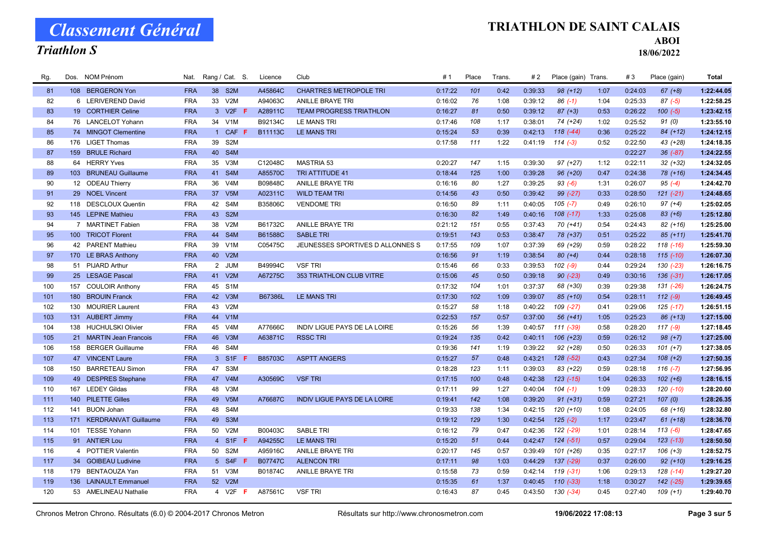#### Triathlon S

#### TRIATHLON DE SAINT CALAIS

ABOI

| Rg. |     | Dos. NOM Prénom          | Nat.       |                | Rang / Cat. S.         | Licence        | Club                                | #1      | Place | <b>Trans</b> | #2      | Place (gain) Trans. |      | #3      | Place (gain)  | <b>Total</b> |
|-----|-----|--------------------------|------------|----------------|------------------------|----------------|-------------------------------------|---------|-------|--------------|---------|---------------------|------|---------|---------------|--------------|
| 81  |     | 108 BERGERON Yon         | <b>FRA</b> | 38             | S <sub>2</sub> M       | A45864C        | <b>CHARTRES METROPOLE TRI</b>       | 0:17:22 | 101   | 0:42         | 0:39:33 | $98 (+12)$          | 1:07 | 0:24:03 | $67 (+8)$     | 1:22:44.05   |
| 82  |     | 6 LERIVEREND David       | <b>FRA</b> | 33             | V <sub>2</sub> M       | A94063C        | <b>ANILLE BRAYE TRI</b>             | 0:16:02 | 76    | 1:08         | 0:39:12 | $86(-1)$            | 1:04 | 0:25:33 | $87(-5)$      | 1:22:58.25   |
| 83  |     | 19 CORTHIER Celine       | <b>FRA</b> |                | 3 V2F F                | A28911C        | <b>TEAM PROGRESS TRIATHLON</b>      | 0:16:27 | 81    | 0:50         | 0:39:12 | $87 (+3)$           | 0:53 | 0:26:22 | $100(-5)$     | 1:23:42.15   |
| 84  |     | 76 LANCELOT Yohann       | <b>FRA</b> | 34             | V1M                    | B92134C        | <b>LE MANS TRI</b>                  | 0:17:46 | 108   | 1:17         | 0:38:01 | 74 (+24)            | 1:02 | 0:25:52 | 91(0)         | 1:23:55.10   |
| 85  |     | 74 MINGOT Clementine     | <b>FRA</b> | $\mathbf{1}$   | <b>CAF</b>             | B11113C        | LE MANS TRI                         | 0:15:24 | 53    | 0:39         | 0:42:13 | $118(-44)$          | 0:36 | 0:25:22 | $84 (+12)$    | 1:24:12.15   |
| 86  |     | 176 LIGET Thomas         | <b>FRA</b> | 39             | S <sub>2</sub> M       |                |                                     | 0:17:58 | 111   | 1:22         | 0:41:19 | $114(-3)$           | 0:52 | 0:22:50 | 43 (+28)      | 1:24:18.35   |
| 87  |     | 159 BRULE Richard        | <b>FRA</b> | 40             | S4M                    |                |                                     |         |       |              |         |                     |      | 0:22:27 | $36(-87)$     | 1:24:22.55   |
| 88  |     | 64 HERRY Yves            | <b>FRA</b> | 35             | V3M                    | C12048C        | <b>MASTRIA 53</b>                   | 0:20:27 | 147   | 1:15         | 0:39:30 | $97 (+27)$          | 1:12 | 0:22:11 | $32 (+32)$    | 1:24:32.05   |
| 89  |     | 103 BRUNEAU Guillaume    | <b>FRA</b> |                | 41 S4M                 | A85570C        | <b>TRI ATTITUDE 41</b>              | 0:18:44 | 125   | 1:00         | 0:39:28 | $96 (+20)$          | 0:47 | 0:24:38 | 78 (+16)      | 1:24:34.45   |
| 90  |     | 12 ODEAU Thierry         | <b>FRA</b> | 36             | V <sub>4</sub> M       | B09848C        | ANILLE BRAYE TRI                    | 0:16:16 | 80    | 1:27         | 0:39:25 | $93( -6)$           | 1:31 | 0:26:07 | $95(-4)$      | 1:24:42.70   |
| 91  |     | 29 NOEL Vincent          | <b>FRA</b> | 37             | V <sub>5</sub> M       | A02311C        | <b>WILD TEAM TRI</b>                | 0:14:56 | 43    | 0:50         | 0:39:42 | 99 (-27)            | 0:33 | 0:28:50 | $121 (-21)$   | 1:24:48.65   |
| 92  |     | 118 DESCLOUX Quentin     | <b>FRA</b> | 42             | S4M                    | B35806C        | <b>VENDOME TRI</b>                  | 0:16:50 | 89    | 1:11         | 0:40:05 | $105$ (-7)          | 0:49 | 0:26:10 | $97 (+4)$     | 1:25:02.05   |
| 93  |     | 145 LEPINE Mathieu       | <b>FRA</b> | 43             | S <sub>2</sub> M       |                |                                     | 0:16:30 | 82    | 1:49         | 0:40:16 | $108$ $(-17)$       | 1:33 | 0:25:08 | $83 (+6)$     | 1:25:12.80   |
| 94  |     | 7 MARTINET Fabien        | <b>FRA</b> | 38             | V <sub>2</sub> M       | B61732C        | <b>ANILLE BRAYE TRI</b>             | 0:21:12 | 151   | 0:55         | 0:37:43 | $70(+41)$           | 0:54 | 0:24:43 | $82 (+16)$    | 1:25:25.00   |
| 95  |     | 100 TRICOT Florent       | <b>FRA</b> | 44             | S <sub>4</sub> M       | B61588C        | <b>SABLE TRI</b>                    | 0:19:51 | 143   | 0:53         | 0:38:47 | 78 (+37)            | 0:51 | 0:25:22 | $85 (+11)$    | 1:25:41.70   |
| 96  |     | 42 PARENT Mathieu        | <b>FRA</b> | 39             | V <sub>1</sub> M       | C05475C        | JEUNESSES SPORTIVES D ALLONNES S    | 0:17:55 | 109   | 1:07         | 0:37:39 | 69 (+29)            | 0:59 | 0:28:22 | $118(-16)$    | 1:25:59.30   |
| 97  |     | 170 LE BRAS Anthony      | <b>FRA</b> | 40             | V2M                    |                |                                     | 0:16:56 | 91    | 1:19         | 0:38:54 | $80 (+4)$           | 0:44 | 0:28:18 | $115(-10)$    | 1:26:07.30   |
| 98  |     | 51 PIJARD Arthur         | <b>FRA</b> |                | 2 JUM                  | B49994C        | <b>VSF TRI</b>                      | 0:15:46 | 66    | 0:33         | 0:39:53 | $102 (-9)$          | 0:44 | 0:29:24 | 130 (-23)     | 1:26:16.75   |
| 99  |     | 25 LESAGE Pascal         | <b>FRA</b> |                | 41 V2M                 | A67275C        | <b>353 TRIATHLON CLUB VITRE</b>     | 0:15:06 | 45    | 0:50         | 0:39:18 | $90 (-23)$          | 0:49 | 0:30:16 | $136(-31)$    | 1:26:17.05   |
| 100 |     | 157 COULOIR Anthony      | <b>FRA</b> | 45             | S <sub>1</sub> M       |                |                                     | 0:17:32 | 104   | 1:01         | 0:37:37 | 68 (+30)            | 0:39 | 0:29:38 | 131 (-26)     | 1:26:24.75   |
| 101 |     | 180 BROUIN Franck        | <b>FRA</b> |                | 42 V3M                 | B67386L        | LE MANS TRI                         | 0:17:30 | 102   | 1:09         | 0:39:07 | $85(+10)$           | 0:54 | 0:28:11 | $112(-9)$     | 1:26:49.45   |
| 102 |     | 130 MOURIER Laurent      | <b>FRA</b> | 43             | V2M                    |                |                                     | 0:15:27 | 58    | 1:18         | 0:40:22 | $109$ $(-27)$       | 0:41 | 0:29:06 | 125 (-17)     | 1:26:51.15   |
| 103 |     | 131 AUBERT Jimmy         | <b>FRA</b> | 44             | V1M                    |                |                                     | 0:22:53 | 157   | 0:57         | 0:37:00 | $56(+41)$           | 1:05 | 0:25:23 | $86 (+13)$    | 1:27:15.00   |
| 104 |     | 138 HUCHULSKI Olivier    | <b>FRA</b> | 45             | V4M                    | A77666C        | <b>INDIV LIGUE PAYS DE LA LOIRE</b> | 0:15:26 | 56    | 1:39         | 0:40:57 | $111 (-39)$         | 0:58 | 0:28:20 | $117(-9)$     | 1:27:18.45   |
| 105 |     | 21 MARTIN Jean Francois  | <b>FRA</b> | 46             | V3M                    | A63871C        | <b>RSSC TRI</b>                     | 0:19:24 | 135   | 0:42         | 0:40:11 | $106 (+23)$         | 0:59 | 0:26:12 | $98 (+7)$     | 1:27:25.00   |
| 106 |     | 158 BERGER Guillaume     | <b>FRA</b> | 46             | S4M                    |                |                                     | 0:19:36 | 141   | 1:19         | 0:39:22 | $92 (+28)$          | 0:50 | 0:26:33 | $101 (+7)$    | 1:27:38.05   |
| 107 |     | 47 VINCENT Laure         | <b>FRA</b> | 3 <sup>1</sup> | S <sub>1F</sub>        | B85703C        | <b>ASPTT ANGERS</b>                 | 0:15:27 | 57    | 0:48         | 0:43:21 | $128(-52)$          | 0:43 | 0:27:34 | $108 (+2)$    | 1:27:50.35   |
| 108 |     | 150 BARRETEAU Simon      | <b>FRA</b> | 47             | S3M                    |                |                                     | 0:18:28 | 123   | 1:11         | 0:39:03 | 83 (+22)            | 0:59 | 0:28:18 | $116(-7)$     | 1:27:56.95   |
| 109 |     | 49 DESPRES Stephane      | <b>FRA</b> |                | 47 V4M                 | A30569C        | <b>VSF TRI</b>                      | 0:17:15 | 100   | 0:48         | 0:42:38 | $123$ $(-15)$       | 1:04 | 0:26:33 | $102 (+6)$    | 1:28:16.15   |
| 110 |     | 167 LEDEY Gildas         | <b>FRA</b> | 48             | V3M                    |                |                                     | 0:17:11 | 99    | 1:27         | 0:40:04 | $104$ (-1)          | 1:09 | 0:28:33 | 120 (-10)     | 1:28:20.60   |
| 111 |     | 140 PILETTE Gilles       | <b>FRA</b> | 49             | V <sub>5</sub> M       | A76687C        | <b>INDIV LIGUE PAYS DE LA LOIRE</b> | 0:19:41 | 142   | 1:08         | 0:39:20 | $91 (+31)$          | 0:59 | 0:27:21 | 107(0)        | 1:28:26.35   |
| 112 | 141 | <b>BUON Johan</b>        | <b>FRA</b> | 48             | S4M                    |                |                                     | 0:19:33 | 138   | 1:34         | 0:42:15 | 120 (+10)           | 1:08 | 0:24:05 | 68 (+16)      | 1:28:32.80   |
| 113 |     | 171 KERDRANVAT Guillaume | <b>FRA</b> | 49             | S <sub>3</sub> M       |                |                                     | 0:19:12 | 129   | 1:30         | 0:42:54 | $125(-2)$           | 1:17 | 0:23:47 | $61 (+18)$    | 1:28:36.70   |
| 114 |     | 101 TESSE Yohann         | <b>FRA</b> | 50             | V2M                    | B00403C        | <b>SABLE TRI</b>                    | 0:16:12 | 79    | 0:47         | 0:42:36 | 122 (-29)           | 1:01 | 0:28:14 | $113(-6)$     | 1:28:47.65   |
| 115 |     | 91 ANTIER Lou            | <b>FRA</b> | $\overline{4}$ | S1F F                  | A94255C        | LE MANS TRI                         | 0:15:20 | 51    | 0:44         | 0:42:47 | $124 (-51)$         | 0:57 | 0:29:04 | $123$ $(-13)$ | 1:28:50.50   |
| 116 |     | 4 POTTIER Valentin       | <b>FRA</b> | 50             | S <sub>2</sub> M       | A95916C        | <b>ANILLE BRAYE TRI</b>             | 0:20:17 | 145   | 0:57         | 0:39:49 | $101 (+26)$         | 0:35 | 0:27:17 | $106 (+3)$    | 1:28:52.75   |
| 117 |     | 34 GOIBEAU Ludivine      | <b>FRA</b> | 5 <sup>5</sup> | S4F F                  | <b>B07747C</b> | <b>ALENCON TRI</b>                  | 0:17:11 | 98    | 1:03         | 0:44:29 | $137$ (-29)         | 0:37 | 0:26:00 | $92 (+10)$    | 1:29:16.25   |
| 118 |     | 179 BENTAOUZA Yan        | <b>FRA</b> |                | 51 V3M                 | B01874C        | ANILLE BRAYE TRI                    | 0:15:58 | 73    | 0:59         | 0:42:14 | 119 (-31)           | 1:06 | 0:29:13 | $128$ $(-14)$ | 1:29:27.20   |
| 119 |     | 136 LAINAULT Emmanuel    | <b>FRA</b> |                | 52 V2M                 |                |                                     | 0:15:35 | 61    | 1:37         | 0:40:45 | $110(-33)$          | 1:18 | 0:30:27 | 142 (-25)     | 1:29:39.65   |
| 120 |     | 53 AMELINEAU Nathalie    | <b>FRA</b> |                | 4 V <sub>2</sub> F $F$ | A87561C        | <b>VSF TRI</b>                      | 0:16:43 | 87    | 0:45         | 0:43:50 | 130 (-34)           | 0:45 | 0:27:40 | $109 (+1)$    | 1:29:40.70   |
|     |     |                          |            |                |                        |                |                                     |         |       |              |         |                     |      |         |               |              |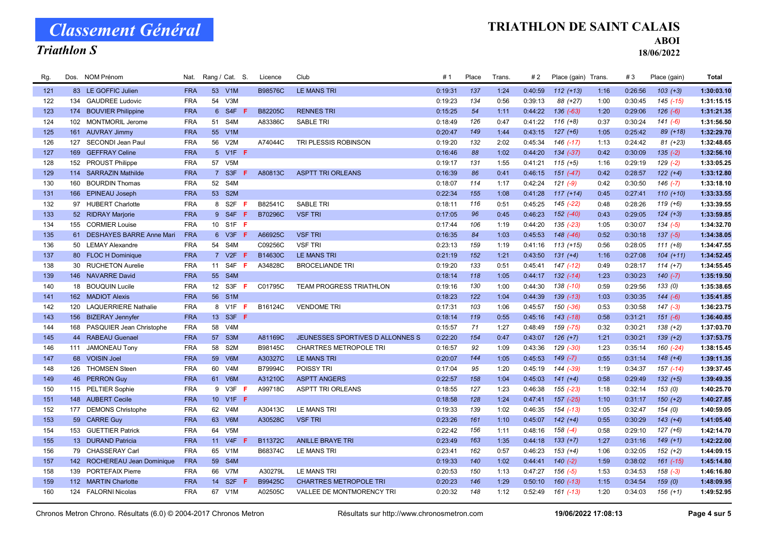#### Triathlon S

#### TRIATHLON DE SAINT CALAIS

ABOI

| Rg. |     | Dos. NOM Prénom              | Nat.       |                 | Rang / Cat. S.   |     | Licence | Club                             | # 1     | Place | Trans. | #2      | Place (gain) Trans. |      | #3      | Place (gain)  | <b>Total</b> |
|-----|-----|------------------------------|------------|-----------------|------------------|-----|---------|----------------------------------|---------|-------|--------|---------|---------------------|------|---------|---------------|--------------|
| 121 |     | 83 LE GOFFIC Julien          | <b>FRA</b> |                 | 53 V1M           |     | B98576C | <b>LE MANS TRI</b>               | 0:19:31 | 137   | 1:24   | 0:40:59 | $112 (+13)$         | 1:16 | 0:26:56 | $103 (+3)$    | 1:30:03.10   |
| 122 | 134 | <b>GAUDREE Ludovic</b>       | <b>FRA</b> | 54              | V3M              |     |         |                                  | 0:19:23 | 134   | 0:56   | 0:39:13 | 88 (+27)            | 1:00 | 0:30:45 | $145$ $(-15)$ | 1:31:15.15   |
| 123 |     | 174 BOUVIER Philippine       | <b>FRA</b> | $6^{\circ}$     | S <sub>4F</sub>  |     | B82205C | <b>RENNES TRI</b>                | 0:15:25 | 54    | 1:11   | 0:44:22 | $136(-63)$          | 1:20 | 0:29:06 | $126(-6)$     | 1:31:21.35   |
| 124 | 102 | <b>MONTMORIL Jerome</b>      | <b>FRA</b> | 51              | S4M              |     | A83386C | <b>SABLE TRI</b>                 | 0:18:49 | 126   | 0:47   | 0:41:22 | $116 (+8)$          | 0:37 | 0:30:24 | $141 (-6)$    | 1:31:56.50   |
| 125 | 161 | <b>AUVRAY Jimmy</b>          | <b>FRA</b> | 55              | V1M              |     |         |                                  | 0:20:47 | 149   | 1:44   | 0:43:15 | $127 (+6)$          | 1:05 | 0:25:42 | 89 (+18)      | 1:32:29.70   |
| 126 |     | 127 SECONDI Jean Paul        | <b>FRA</b> | 56              | V2M              |     | A74044C | TRI PLESSIS ROBINSON             | 0:19:20 | 132   | 2:02   | 0:45:34 | $146$ (-17)         | 1:13 | 0:24:42 | $81 (+23)$    | 1:32:48.65   |
| 127 | 169 | <b>GEFFRAY Celine</b>        | <b>FRA</b> | 5 <sup>1</sup>  | $V1F$ F          |     |         |                                  | 0:16:46 | 88    | 1:02   | 0:44:20 | $134 (-37)$         | 0:42 | 0:30:09 | $135(-2)$     | 1:32:56.10   |
| 128 | 152 | <b>PROUST Philippe</b>       | <b>FRA</b> | 57              | V <sub>5</sub> M |     |         |                                  | 0:19:17 | 131   | 1:55   | 0:41:21 | $115 (+5)$          | 1:16 | 0:29:19 | $129(-2)$     | 1:33:05.25   |
| 129 |     | 114 SARRAZIN Mathilde        | <b>FRA</b> |                 | 7 S3F            |     | A80813C | <b>ASPTT TRI ORLEANS</b>         | 0:16:39 | 86    | 0:41   | 0:46:15 | $151 (-47)$         | 0:42 | 0:28:57 | $122 (+4)$    | 1:33:12.80   |
| 130 | 160 | <b>BOURDIN Thomas</b>        | <b>FRA</b> | 52              | S4M              |     |         |                                  | 0:18:07 | 114   | 1:17   | 0:42:24 | $121(-9)$           | 0:42 | 0:30:50 | $146$ (-7)    | 1:33:18.10   |
| 131 |     | 166 EPINEAU Joseph           | <b>FRA</b> | 53              | S <sub>2</sub> M |     |         |                                  | 0:22:34 | 155   | 1:08   | 0:41:28 | $117 (+14)$         | 0:45 | 0:27:41 | $110 (+10)$   | 1:33:33.55   |
| 132 |     | 97 HUBERT Charlotte          | <b>FRA</b> | 8               | S2F              | F   | B82541C | <b>SABLE TRI</b>                 | 0:18:11 | 116   | 0:51   | 0:45:25 | $145$ $(-22)$       | 0:48 | 0:28:26 | $119 (+6)$    | 1:33:39.55   |
| 133 |     | 52 RIDRAY Marjorie           | <b>FRA</b> |                 | 9 S4F            | F   | B70296C | <b>VSF TRI</b>                   | 0:17:05 | 96    | 0:45   | 0:46:23 | $152$ $(-40)$       | 0:43 | 0:29:05 | $124 (+3)$    | 1:33:59.85   |
| 134 |     | 155 CORMIER Louise           | <b>FRA</b> |                 | 10 S1F F         |     |         |                                  | 0:17:44 | 106   | 1:19   | 0:44:20 | $135$ $(-23)$       | 1:05 | 0:30:07 | $134 (-5)$    | 1:34:32.70   |
| 135 |     | 61 DESHAYES BARRE Anne Mari  | <b>FRA</b> |                 | 6 V3F            | F   | A66925C | <b>VSF TRI</b>                   | 0:16:35 | 84    | 1:03   | 0:45:53 | $148$ $(-46)$       | 0:52 | 0:30:18 | $137(-5)$     | 1:34:38.05   |
| 136 |     | 50 LEMAY Alexandre           | <b>FRA</b> | 54              | S4M              |     | C09256C | <b>VSF TRI</b>                   | 0:23:13 | 159   | 1:19   | 0:41:16 | $113 (+15)$         | 0:56 | 0:28:05 | $111 (+8)$    | 1:34:47.55   |
| 137 |     | 80 FLOC H Dominique          | <b>FRA</b> | $7^{\circ}$     | $V2F$ F          |     | B14630C | <b>LE MANS TRI</b>               | 0:21:19 | 152   | 1:21   | 0:43:50 | $131 (+4)$          | 1:16 | 0:27:08 | $104 (+11)$   | 1:34:52.45   |
| 138 | 30  | <b>RUCHETON Aurelie</b>      | <b>FRA</b> | 11              | S4F              | -F  | A34828C | <b>BROCELIANDE TRI</b>           | 0:19:20 | 133   | 0:51   | 0:45:41 | 147 (-12)           | 0:49 | 0:28:17 | $114 (+7)$    | 1:34:55.45   |
| 139 |     | 146 NAVARRE David            | <b>FRA</b> |                 | 55 S4M           |     |         |                                  | 0:18:14 | 118   | 1:05   | 0:44:17 | $132$ $(-14)$       | 1:23 | 0:30:23 | $140(-7)$     | 1:35:19.50   |
| 140 |     | 18 BOUQUIN Lucile            | <b>FRA</b> | 12              | S3F              | -F. | C01795C | <b>TEAM PROGRESS TRIATHLON</b>   | 0:19:16 | 130   | 1:00   | 0:44:30 | 138 (-10)           | 0:59 | 0:29:56 | 133(0)        | 1:35:38.65   |
| 141 |     | 162 MADIOT Alexis            | <b>FRA</b> |                 | 56 S1M           |     |         |                                  | 0:18:23 | 122   | 1:04   | 0:44:39 | $139$ $(-13)$       | 1:03 | 0:30:35 | $144 (-6)$    | 1:35:41.85   |
| 142 | 120 | <b>LAQUERRIERE Nathalie</b>  | <b>FRA</b> | 8               | V <sub>1</sub> F | -F  | B16124C | <b>VENDOME TRI</b>               | 0:17:31 | 103   | 1:06   | 0:45:57 | $150(-36)$          | 0:53 | 0:30:58 | $147$ (-3)    | 1:36:23.75   |
| 143 |     | 156 BIZERAY Jennyfer         | <b>FRA</b> | 13 <sup>7</sup> | S3F F            |     |         |                                  | 0:18:14 | 119   | 0:55   | 0:45:16 | $143$ $(-18)$       | 0:58 | 0:31:21 | $151 (-6)$    | 1:36:40.85   |
| 144 | 168 | PASQUIER Jean Christophe     | <b>FRA</b> | 58              | V <sub>4</sub> M |     |         |                                  | 0:15:57 | 71    | 1:27   | 0:48:49 | 159 (-75)           | 0:32 | 0:30:21 | $138 (+2)$    | 1:37:03.70   |
| 145 |     | 44 RABEAU Guenael            | <b>FRA</b> | 57              | S <sub>3</sub> M |     | A81169C | JEUNESSES SPORTIVES D ALLONNES S | 0:22:20 | 154   | 0:47   | 0:43:07 | $126 (+7)$          | 1:21 | 0:30:21 | $139 (+2)$    | 1:37:53.75   |
| 146 |     | 111 JAMONEAU Tony            | <b>FRA</b> | 58              | S <sub>2</sub> M |     | B98145C | <b>CHARTRES METROPOLE TRI</b>    | 0:16:57 | 92    | 1:09   | 0:43:36 | 129 (-30)           | 1:23 | 0:35:14 | $160 (-24)$   | 1:38:15.45   |
| 147 |     | 68 VOISIN Joel               | <b>FRA</b> | 59              | V6M              |     | A30327C | <b>LE MANS TRI</b>               | 0:20:07 | 144   | 1:05   | 0:45:53 | $149$ $(-7)$        | 0:55 | 0:31:14 | $148 (+4)$    | 1:39:11.35   |
| 148 | 126 | <b>THOMSEN Steen</b>         | <b>FRA</b> | 60              | V4M              |     | B79994C | POISSY TRI                       | 0:17:04 | 95    | 1:20   | 0:45:19 | 144 (-39)           | 1:19 | 0:34:37 | 157 (-14)     | 1:39:37.45   |
| 149 |     | 46 PERRON Guy                | <b>FRA</b> |                 | 61 V6M           |     | A31210C | <b>ASPTT ANGERS</b>              | 0:22:57 | 158   | 1:04   | 0:45:03 | $141 (+4)$          | 0:58 | 0:29:49 | $132 (+5)$    | 1:39:49.35   |
| 150 |     | 115 PELTIER Sophie           | <b>FRA</b> |                 | 9 V3F            | -F  | A99718C | <b>ASPTT TRI ORLEANS</b>         | 0:18:55 | 127   | 1:23   | 0:46:38 | 155 (-23)           | 1:18 | 0:32:14 | 153(0)        | 1:40:25.70   |
| 151 |     | 148 AUBERT Cecile            | <b>FRA</b> |                 | 10 V1F F         |     |         |                                  | 0:18:58 | 128   | 1:24   | 0:47:41 | $157 (-25)$         | 1:10 | 0:31:17 | $150 (+2)$    | 1:40:27.85   |
| 152 |     | 177 DEMONS Christophe        | <b>FRA</b> | 62              | V <sub>4</sub> M |     | A30413C | <b>LE MANS TRI</b>               | 0:19:33 | 139   | 1:02   | 0:46:35 | $154$ $(-13)$       | 1:05 | 0:32:47 | 154(0)        | 1:40:59.05   |
| 153 |     | 59 CARRE Guy                 | <b>FRA</b> | 63              | V6M              |     | A30528C | <b>VSF TRI</b>                   | 0:23:26 | 161   | 1:10   | 0:45:07 | $142 (+4)$          | 0:55 | 0:30:29 | $143 (+4)$    | 1:41:05.40   |
| 154 |     | 153 GUETTIER Patrick         | <b>FRA</b> | 64              | V <sub>5</sub> M |     |         |                                  | 0:22:42 | 156   | 1:11   | 0:48:16 | $158(-4)$           | 0:58 | 0:29:10 | $127 (+6)$    | 1:42:14.70   |
| 155 |     | 13 DURAND Patricia           | <b>FRA</b> | 11              | V4F              |     | B11372C | <b>ANILLE BRAYE TRI</b>          | 0:23:49 | 163   | 1:35   | 0:44:18 | $133 (+7)$          | 1:27 | 0:31:16 | $149 (+1)$    | 1:42:22.00   |
| 156 |     | 79 CHASSERAY Carl            | <b>FRA</b> | 65              | V1M              |     | B68374C | <b>LE MANS TRI</b>               | 0:23:41 | 162   | 0:57   | 0:46:23 | $153 (+4)$          | 1:06 | 0:32:05 | $152 (+2)$    | 1:44:09.15   |
| 157 |     | 142 ROCHEREAU Jean Dominique | <b>FRA</b> | 59              | S4M              |     |         |                                  | 0:19:33 | 140   | 1:02   | 0:44:41 | $140 (-2)$          | 1:59 | 0:38:02 | $161$ $(-15)$ | 1:45:14.80   |
| 158 | 139 | <b>PORTEFAIX Pierre</b>      | <b>FRA</b> | 66              | V7M              |     | A30279L | <b>LE MANS TRI</b>               | 0:20:53 | 150   | 1:13   | 0:47:27 | $156(-5)$           | 1:53 | 0:34:53 | $158(-3)$     | 1:46:16.80   |
| 159 |     | 112 MARTIN Charlotte         | <b>FRA</b> | 14              | $S2F$ F          |     | B99425C | <b>CHARTRES METROPOLE TRI</b>    | 0:20:23 | 146   | 1:29   | 0:50:10 | $160(-13)$          | 1:15 | 0:34:54 | 159(0)        | 1:48:09.95   |
| 160 |     | 124 FALORNI Nicolas          | <b>FRA</b> |                 | 67 V1M           |     | A02505C | VALLEE DE MONTMORENCY TRI        | 0:20:32 | 148   | 1:12   | 0:52:49 | $161$ (-13)         | 1:20 | 0:34:03 | $156 (+1)$    | 1:49:52.95   |
|     |     |                              |            |                 |                  |     |         |                                  |         |       |        |         |                     |      |         |               |              |